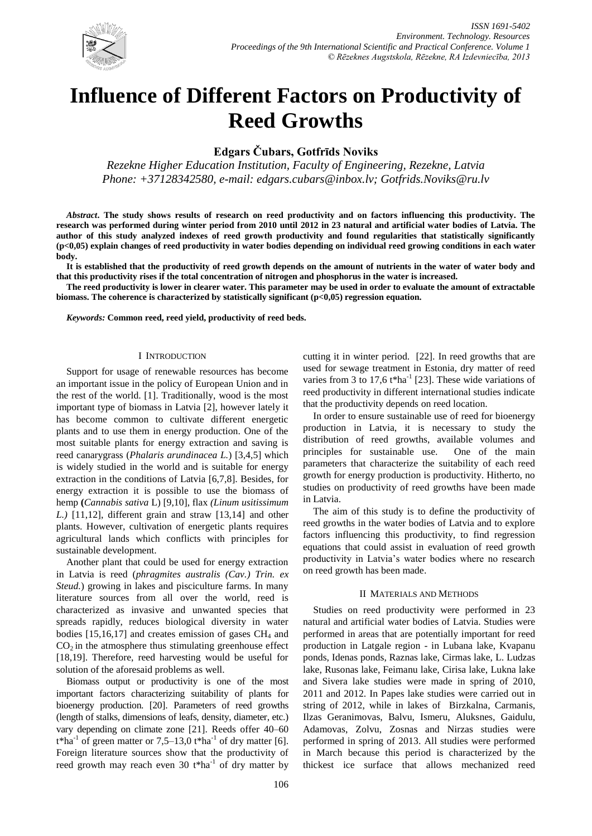

# **Influence of Different Factors on Productivity of Reed Growths**

# **Edgars Čubars, Gotfrīds Noviks**

*Rezekne Higher Education Institution, Faculty of Engineering, Rezekne, Latvia Phone: +37128342580, e-mail: [edgars.cubars@inbox.lv;](mailto:gitaedgars@inbox.lv) Gotfrids.Noviks@ru.lv*

*Abstract***. The study shows results of research on reed productivity and on factors influencing this productivity. The research was performed during winter period from 2010 until 2012 in 23 natural and artificial water bodies of Latvia. The author of this study analyzed indexes of reed growth productivity and found regularities that statistically significantly (p<0,05) explain changes of reed productivity in water bodies depending on individual reed growing conditions in each water body.** 

**It is established that the productivity of reed growth depends on the amount of nutrients in the water of water body and that this productivity rises if the total concentration of nitrogen and phosphorus in the water is increased.** 

**The reed productivity is lower in clearer water. This parameter may be used in order to evaluate the amount of extractable biomass. The coherence is characterized by statistically significant (p<0,05) regression equation.** 

*Keywords:* **Common reed, reed yield, productivity of reed beds.**

## I INTRODUCTION

Support for usage of renewable resources has become an important issue in the policy of European Union and in the rest of the world. [1]. Traditionally, wood is the most important type of biomass in Latvia [2], however lately it has become common to cultivate different energetic plants and to use them in energy production. One of the most suitable plants for energy extraction and saving is reed canarygrass (*Phalaris arundinacea L.*) [3,4,5] which is widely studied in the world and is suitable for energy extraction in the conditions of Latvia [6,7,8]. Besides, for energy extraction it is possible to use the biomass of hemp **(***Cannabis sativa* L) [9,10], flax *(Linum usitissimum L.)* [11,12], different grain and straw [13,14] and other plants. However, cultivation of energetic plants requires agricultural lands which conflicts with principles for sustainable development.

Another plant that could be used for energy extraction in Latvia is reed (*phragmites australis (Cav.) Trin. ex Steud.*) growing in lakes and pisciculture farms. In many literature sources from all over the world, reed is characterized as invasive and unwanted species that spreads rapidly, reduces biological diversity in water bodies  $[15,16,17]$  and creates emission of gases CH<sub>4</sub> and  $CO<sub>2</sub>$  in the atmosphere thus stimulating greenhouse effect [18,19]. Therefore, reed harvesting would be useful for solution of the aforesaid problems as well.

Biomass output or productivity is one of the most important factors characterizing suitability of plants for bioenergy production. [20]. Parameters of reed growths (length of stalks, dimensions of leafs, density, diameter, etc.) vary depending on climate zone [21]. Reeds offer 40–60  $t^*$ ha<sup>-1</sup> of green matter or 7,5–13,0  $t^*$ ha<sup>-1</sup> of dry matter [6]. Foreign literature sources show that the productivity of reed growth may reach even 30  $t^*$ ha<sup>-1</sup> of dry matter by cutting it in winter period. [22]. In reed growths that are used for sewage treatment in Estonia, dry matter of reed varies from 3 to 17,6  $t*ha^{-1}$  [23]. These wide variations of reed productivity in different international studies indicate that the productivity depends on reed location.

In order to ensure sustainable use of reed for bioenergy production in Latvia, it is necessary to study the distribution of reed growths, available volumes and principles for sustainable use. One of the main parameters that characterize the suitability of each reed growth for energy production is productivity. Hitherto, no studies on productivity of reed growths have been made in Latvia.

The aim of this study is to define the productivity of reed growths in the water bodies of Latvia and to explore factors influencing this productivity, to find regression equations that could assist in evaluation of reed growth productivity in Latvia's water bodies where no research on reed growth has been made.

### II MATERIALS AND METHODS

Studies on reed productivity were performed in 23 natural and artificial water bodies of Latvia. Studies were performed in areas that are potentially important for reed production in Latgale region - in Lubana lake, Kvapanu ponds, Idenas ponds, Raznas lake, Cirmas lake, L. Ludzas lake, Rusonas lake, Feimanu lake, Cirisa lake, Lukna lake and Sivera lake studies were made in spring of 2010, 2011 and 2012. In Papes lake studies were carried out in string of 2012, while in lakes of Birzkalna, Carmanis, Ilzas Geranimovas, Balvu, Ismeru, Aluksnes, Gaidulu, Adamovas, Zolvu, Zosnas and Nirzas studies were performed in spring of 2013. All studies were performed in March because this period is characterized by the thickest ice surface that allows mechanized reed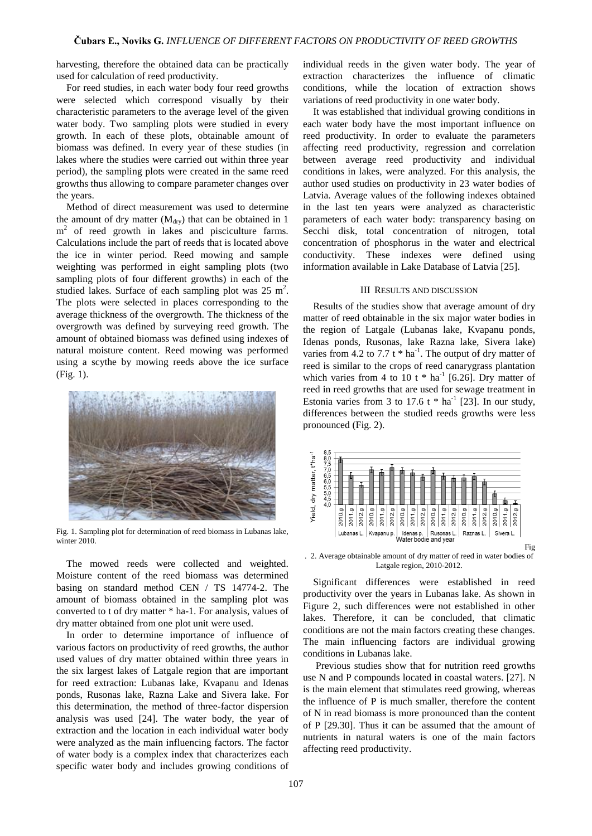harvesting, therefore the obtained data can be practically used for calculation of reed productivity.

For reed studies, in each water body four reed growths were selected which correspond visually by their characteristic parameters to the average level of the given water body. Two sampling plots were studied in every growth. In each of these plots, obtainable amount of biomass was defined. In every year of these studies (in lakes where the studies were carried out within three year period), the sampling plots were created in the same reed growths thus allowing to compare parameter changes over the years.

Method of direct measurement was used to determine the amount of dry matter  $(M_{\text{dry}})$  that can be obtained in 1 m<sup>2</sup> of reed growth in lakes and pisciculture farms. Calculations include the part of reeds that is located above the ice in winter period. Reed mowing and sample weighting was performed in eight sampling plots (two sampling plots of four different growths) in each of the studied lakes. Surface of each sampling plot was  $25 \text{ m}^2$ . The plots were selected in places corresponding to the average thickness of the overgrowth. The thickness of the overgrowth was defined by surveying reed growth. The amount of obtained biomass was defined using indexes of natural moisture content. Reed mowing was performed using a scythe by mowing reeds above the ice surface (Fig. 1).



Fig. 1. Sampling plot for determination of reed biomass in Lubanas lake, winter 2010

The mowed reeds were collected and weighted. Moisture content of the reed biomass was determined basing on standard method CEN / TS 14774-2. The amount of biomass obtained in the sampling plot was converted to t of dry matter \* ha-1. For analysis, values of dry matter obtained from one plot unit were used.

In order to determine importance of influence of various factors on productivity of reed growths, the author used values of dry matter obtained within three years in the six largest lakes of Latgale region that are important for reed extraction: Lubanas lake, Kvapanu and Idenas ponds, Rusonas lake, Razna Lake and Sivera lake. For this determination, the method of three-factor dispersion analysis was used [24]. The water body, the year of extraction and the location in each individual water body were analyzed as the main influencing factors. The factor of water body is a complex index that characterizes each specific water body and includes growing conditions of individual reeds in the given water body. The year of extraction characterizes the influence of climatic conditions, while the location of extraction shows variations of reed productivity in one water body.

It was established that individual growing conditions in each water body have the most important influence on reed productivity. In order to evaluate the parameters affecting reed productivity, regression and correlation between average reed productivity and individual conditions in lakes, were analyzed. For this analysis, the author used studies on productivity in 23 water bodies of Latvia. Average values of the following indexes obtained in the last ten years were analyzed as characteristic parameters of each water body: transparency basing on Secchi disk, total concentration of nitrogen, total concentration of phosphorus in the water and electrical conductivity. These indexes were defined using information available in Lake Database of Latvia [25].

### III RESULTS AND DISCUSSION

Results of the studies show that average amount of dry matter of reed obtainable in the six major water bodies in the region of Latgale (Lubanas lake, Kvapanu ponds, Idenas ponds, Rusonas, lake Razna lake, Sivera lake) varies from 4.2 to 7.7  $t * ha^{-1}$ . The output of dry matter of reed is similar to the crops of reed canarygrass plantation which varies from 4 to 10 t  $*$  ha<sup>-1</sup> [6.26]. Dry matter of reed in reed growths that are used for sewage treatment in Estonia varies from 3 to 17.6  $t * ha^{-1}$  [23]. In our study, differences between the studied reeds growths were less pronounced (Fig. 2).



Latgale region, 2010-2012.

Significant differences were established in reed productivity over the years in Lubanas lake. As shown in Figure 2, such differences were not established in other lakes. Therefore, it can be concluded, that climatic conditions are not the main factors creating these changes. The main influencing factors are individual growing conditions in Lubanas lake.

Previous studies show that for nutrition reed growths use N and P compounds located in coastal waters. [27]. N is the main element that stimulates reed growing, whereas the influence of P is much smaller, therefore the content of N in read biomass is more pronounced than the content of P [29.30]. Thus it can be assumed that the amount of nutrients in natural waters is one of the main factors affecting reed productivity.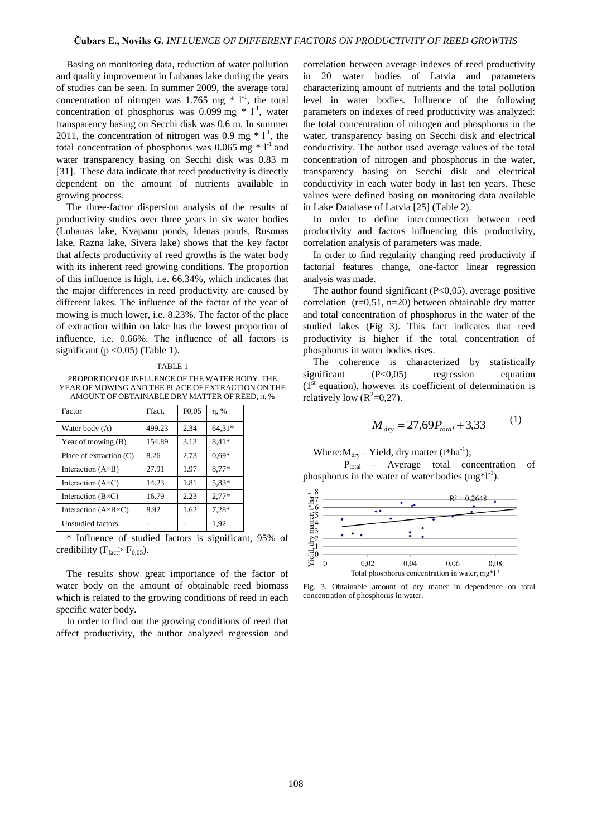Basing on monitoring data, reduction of water pollution and quality improvement in Lubanas lake during the years of studies can be seen. In summer 2009, the average total concentration of nitrogen was 1.765 mg  $*$   $\Gamma^1$ , the total concentration of phosphorus was 0.099 mg  $*$  1<sup>-1</sup>, water transparency basing on Secchi disk was 0.6 m. In summer 2011, the concentration of nitrogen was 0.9 mg  $*1^{-1}$ , the total concentration of phosphorus was 0.065 mg  $*$   $\Gamma^1$  and water transparency basing on Secchi disk was 0.83 m [31]. These data indicate that reed productivity is directly dependent on the amount of nutrients available in growing process.

The three-factor dispersion analysis of the results of productivity studies over three years in six water bodies (Lubanas lake, Kvapanu ponds, Idenas ponds, Rusonas lake, Razna lake, Sivera lake) shows that the key factor that affects productivity of reed growths is the water body with its inherent reed growing conditions. The proportion of this influence is high, i.e. 66.34%, which indicates that the major differences in reed productivity are caused by different lakes. The influence of the factor of the year of mowing is much lower, i.e. 8.23%. The factor of the place of extraction within on lake has the lowest proportion of influence, i.e. 0.66%. The influence of all factors is significant ( $p < 0.05$ ) (Table 1).

TABLE 1 PROPORTION OF INFLUENCE OF THE WATER BODY, THE YEAR OF MOWING AND THE PLACE OF EXTRACTION ON THE AMOUNT OF OBTAINABLE DRY MATTER OF REED, Η, %

| Factor                              | Ffact. | F0.05 | $\eta$ , % |
|-------------------------------------|--------|-------|------------|
| Water body (A)                      | 499.23 | 2.34  | $64.31*$   |
| Year of mowing (B)                  | 154.89 | 3.13  | 8,41*      |
| Place of extraction (C)             | 8.26   | 2.73  | $0.69*$    |
| Interaction $(A \times B)$          | 27.91  | 1.97  | 8,77*      |
| Interaction $(A \times C)$          | 14.23  | 1.81  | 5.83*      |
| Interaction $(B \times C)$          | 16.79  | 2.23  | $2,77*$    |
| Interaction $(A \times B \times C)$ | 8.92   | 1.62  | $7.28*$    |
| <b>Unstudied factors</b>            |        |       | 1,92       |

\* Influence of studied factors is significant, 95% of credibility ( $F_{\text{fact}}$  $> F_{0.05}$ ).

The results show great importance of the factor of water body on the amount of obtainable reed biomass which is related to the growing conditions of reed in each specific water body.

In order to find out the growing conditions of reed that affect productivity, the author analyzed regression and correlation between average indexes of reed productivity in 20 water bodies of Latvia and parameters characterizing amount of nutrients and the total pollution level in water bodies. Influence of the following parameters on indexes of reed productivity was analyzed: the total concentration of nitrogen and phosphorus in the water, transparency basing on Secchi disk and electrical conductivity. The author used average values of the total concentration of nitrogen and phosphorus in the water, transparency basing on Secchi disk and electrical conductivity in each water body in last ten years. These values were defined basing on monitoring data available in Lake Database of Latvia [25] (Table 2).

In order to define interconnection between reed productivity and factors influencing this productivity, correlation analysis of parameters was made.

In order to find regularity changing reed productivity if factorial features change, one-factor linear regression analysis was made.

The author found significant  $(P<0.05)$ , average positive correlation  $(r=0,51, n=20)$  between obtainable dry matter and total concentration of phosphorus in the water of the studied lakes (Fig 3). This fact indicates that reed productivity is higher if the total concentration of phosphorus in water bodies rises.

The coherence is characterized by statistically significant (P<0,05) regression equation  $(1<sup>st</sup>$  equation), however its coefficient of determination is relatively low  $(R^2=0.27)$ .

$$
M_{\text{dry}} = 27,69P_{\text{total}} + 3,33 \tag{1}
$$

Where: $M_{\text{dry}}$  – Yield, dry matter (t\*ha<sup>-1</sup>);

 $P_{total}$  – Average total concentration of phosphorus in the water of water bodies (mg $*1^{-1}$ ).



Fig. 3. Obtainable amount of dry matter in dependence on total concentration of phosphorus in water.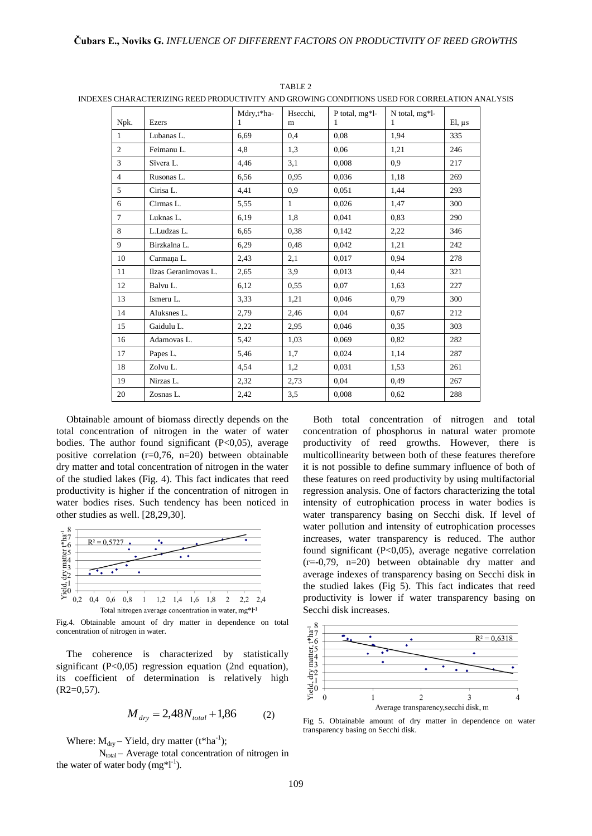|                |                      | Mdry,t*ha- | Hsecchi.     | P total, mg*l- | N total, mg*l- |             |
|----------------|----------------------|------------|--------------|----------------|----------------|-------------|
| Npk.           | Ezers                | 1          | m            | 1              | 1              | $El, \mu s$ |
| $\mathbf{1}$   | Lubanas L.           | 6.69       | 0.4          | 0.08           | 1,94           | 335         |
| $\overline{2}$ | Feimanu L.           | 4,8        | 1,3          | 0.06           | 1,21           | 246         |
| $\mathfrak{Z}$ | Sīvera L.            | 4,46       | 3,1          | 0,008          | 0.9            | 217         |
| $\overline{4}$ | Rusonas L.           | 6,56       | 0.95         | 0.036          | 1,18           | 269         |
| $5^{\circ}$    | Cirisa L.            | 4,41       | 0,9          | 0,051          | 1,44           | 293         |
| 6              | Cirmas L.            | 5,55       | $\mathbf{1}$ | 0,026          | 1,47           | 300         |
| $\tau$         | Luknas L.            | 6,19       | 1,8          | 0,041          | 0.83           | 290         |
| 8              | L.Ludzas L.          | 6.65       | 0.38         | 0,142          | 2,22           | 346         |
| 9              | Birzkalna L.         | 6,29       | 0.48         | 0,042          | 1,21           | 242         |
| 10             | Carmana L.           | 2,43       | 2,1          | 0,017          | 0.94           | 278         |
| 11             | Ilzas Geranimovas L. | 2,65       | 3,9          | 0.013          | 0.44           | 321         |
| 12             | Balvu L.             | 6,12       | 0.55         | 0.07           | 1,63           | 227         |
| 13             | Ismeru L.            | 3.33       | 1,21         | 0,046          | 0.79           | 300         |
| 14             | Aluksnes L.          | 2,79       | 2,46         | 0.04           | 0.67           | 212         |
| 15             | Gaidulu L.           | 2,22       | 2,95         | 0,046          | 0.35           | 303         |
| 16             | Adamovas L.          | 5,42       | 1,03         | 0,069          | 0.82           | 282         |
| 17             | Papes L.             | 5,46       | 1,7          | 0,024          | 1,14           | 287         |
| 18             | Zolvu L.             | 4,54       | 1,2          | 0,031          | 1,53           | 261         |
| 19             | Nirzas L.            | 2,32       | 2,73         | 0,04           | 0,49           | 267         |
| 20             | Zosnas L.            | 2,42       | 3.5          | 0,008          | 0.62           | 288         |

TARLE<sub>2</sub> INDEXES CHARACTERIZING REED PRODUCTIVITY AND GROWING CONDITIONS USED FOR CORRELATION ANALYSIS

Obtainable amount of biomass directly depends on the total concentration of nitrogen in the water of water bodies. The author found significant  $(P<0.05)$ , average positive correlation  $(r=0,76, n=20)$  between obtainable dry matter and total concentration of nitrogen in the water of the studied lakes (Fig. 4). This fact indicates that reed productivity is higher if the concentration of nitrogen in water bodies rises. Such tendency has been noticed in other studies as well. [28,29,30].



Fig.4. Obtainable amount of dry matter in dependence on total concentration of nitrogen in water.

The coherence is characterized by statistically significant (P<0,05) regression equation (2nd equation), its coefficient of determination is relatively high  $(R2=0,57)$ .

$$
M_{\text{dry}} = 2,48N_{\text{total}} + 1,86 \tag{2}
$$

Where:  $M_{\text{dry}}$  – Yield, dry matter (t\*ha<sup>-1</sup>);

 $N_{total}$  – Average total concentration of nitrogen in the water of water body  $(mg*1^{-1})$ .

Both total concentration of nitrogen and total concentration of phosphorus in natural water promote productivity of reed growths. However, there is multicollinearity between both of these features therefore it is not possible to define summary influence of both of these features on reed productivity by using multifactorial regression analysis. One of factors characterizing the total intensity of eutrophication process in water bodies is water transparency basing on Secchi disk. If level of water pollution and intensity of eutrophication processes increases, water transparency is reduced. The author found significant ( $P<0,05$ ), average negative correlation  $(r=-0.79, n=20)$  between obtainable dry matter and average indexes of transparency basing on Secchi disk in the studied lakes (Fig 5). This fact indicates that reed productivity is lower if water transparency basing on Secchi disk increases.



Fig 5. Obtainable amount of dry matter in dependence on water transparency basing on Secchi disk.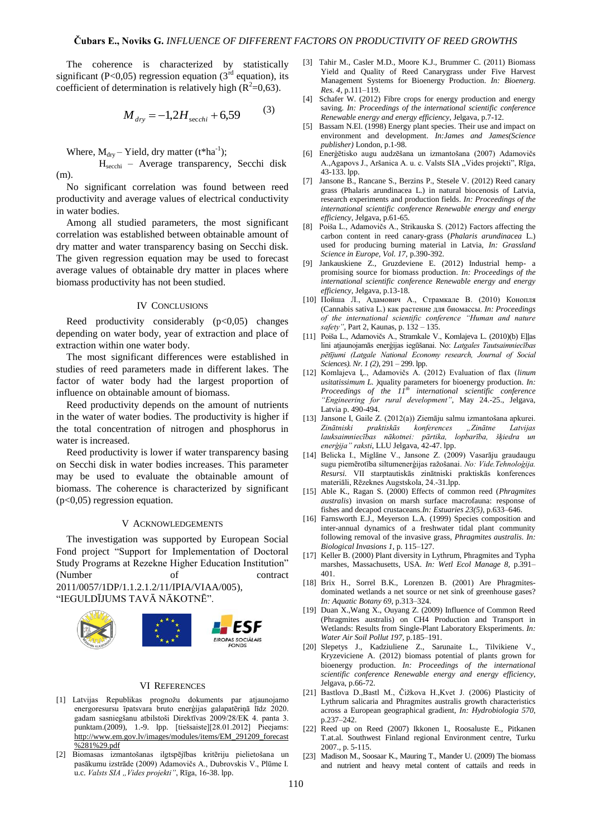The coherence is characterized by statistically significant (P<0,05) regression equation ( $3<sup>rd</sup>$  equation), its coefficient of determination is relatively high ( $\mathbb{R}^2$ =0,63).

$$
M_{\text{dry}} = -1.2H_{\text{sechi}} + 6.59
$$
 (3)

Where,  $M_{\text{dry}} -$  Yield, dry matter (t\*ha<sup>-1</sup>);

 Hsecchi – Average transparency, Secchi disk (m).

No significant correlation was found between reed productivity and average values of electrical conductivity in water bodies.

Among all studied parameters, the most significant correlation was established between obtainable amount of dry matter and water transparency basing on Secchi disk. The given regression equation may be used to forecast average values of obtainable dry matter in places where biomass productivity has not been studied.

#### IV CONCLUSIONS

Reed productivity considerably  $(p<0,05)$  changes depending on water body, year of extraction and place of extraction within one water body.

The most significant differences were established in studies of reed parameters made in different lakes. The factor of water body had the largest proportion of influence on obtainable amount of biomass.

Reed productivity depends on the amount of nutrients in the water of water bodies. The productivity is higher if the total concentration of nitrogen and phosphorus in water is increased.

Reed productivity is lower if water transparency basing on Secchi disk in water bodies increases. This parameter may be used to evaluate the obtainable amount of biomass. The coherence is characterized by significant  $(p<0.05)$  regression equation.

#### V ACKNOWLEDGEMENTS

The investigation was supported by European Social Fond project "Support for Implementation of Doctoral Study Programs at Rezekne Higher Education Institution" (Number of contract

2011/0057/1DP/1.1.2.1.2/11/IPIA/VIAA/005), "IEGULDĪJUMS TAVĀ NĀKOTNĒ".



#### VI REFERENCES

- [1] Latvijas Republikas prognožu dokuments par atjaunojamo energoresursu īpatsvara bruto enerģijas galapatēriņā līdz 2020. gadam sasniegšanu atbilstoši Direktīvas 2009/28/EK 4. panta 3. punktam.(2009), 1.-9. lpp. [tiešsaiste][28.01.2012] Pieejams: [http://www.em.gov.lv/images/modules/items/EM\\_291209\\_forecast](http://www.em.gov.lv/images/modules/items/EM_291209_forecast%281%29.pdf) [%281%29.pdf](http://www.em.gov.lv/images/modules/items/EM_291209_forecast%281%29.pdf)
- [2] Biomasas izmantošanas ilgtspējības kritēriju pielietošana un pasākumu izstrāde (2009) Adamovičs A., Dubrovskis V., Plūme I. u.c. Valsts SIA "Vides projekti", Rīga, 16-38. lpp.
- [3] Tahir M., Casler M.D., Moore K.J., Brummer C. (2011) Biomass Yield and Quality of Reed Canarygrass under Five Harvest Management Systems for Bioenergy Production. *In: Bioenerg. Res. 4*, p.111–119.
- [4] Schafer W. (2012) Fibre crops for energy production and energy saving. *In: Proceedings of the international scientific conference Renewable energy and energy efficiency*, Jelgava, p.7-12.
- [5] Bassam N.El. (1998) Energy plant species. Their use and impact on environment and development. *In:James and James(Science publisher)* London, p.1-98.
- [6] Enerģētisko augu audzēšana un izmantošana (2007) Adamovičs A., Agapovs J., Aršanica A. u. c. Valsts SIA "Vides projekti", Rīga, 43-133. lpp.
- [7] Jansone B., Rancane S., Berzins P., Stesele V. (2012) Reed canary grass (Phalaris arundinacea L.) in natural biocenosis of Latvia, research experiments and production fields. *In: Proceedings of the international scientific conference Renewable energy and energy efficiency*, Jelgava, p.61-65.
- [8] Poiša L., Adamovičs A., Strikauska S. (2012) Factors affecting the carbon content in reed canary-grass (*Phalaris arundinacea* L.) used for producing burning material in Latvia, *In: Grassland Science in Europe, Vol. 17,* p.390-392.
- [9] Jankauskiene Z., Gruzdeviene E. (2012) Industrial hemp- a promising source for biomass production. *In: Proceedings of the international scientific conference Renewable energy and energy efficiency*, Jelgava, p.13-18.
- [10] Пойша Л., Адамович А., Страмкале В. (2010) Конопля (Cannabis sativa L.) как растение для биомассы. *In: Proceedings of the international scientific conference "Human and nature safety"*, Part 2, Kaunas, p. 132 – 135.
- [11] Poiša L., Adamovičs A., Stramkale V., Komlajeva L. (2010)(b) Eļļas lini atjaunojamās enerģijas iegūšanai. No: *Latgales Tautsaimniecības pētījumi (Latgale National Economy research, Journal of Social Sciences). Nr. 1 (2)*, 291 – 299. lpp.
- [12] Komlajeva Ļ., Adamovičs A. (2012) Evaluation of flax (*linum usitatissimum L. )*quality parameters for bioenergy production. *In: Proceedings of the 11th international scientific conference "Engineering for rural development"*, May 24.-25., Jelgava, Latvia p. 490-494.
- [13] Jansone I, Gaile Z. (2012(a)) Ziemāju salmu izmantošana apkurei. *Zinātniski praktiskās konferences "Zinātne Latvijas lauksaimniecības nākotnei: pārtika, lopbarība, šķiedra un enerģija" raksti*, LLU Jelgava, 42-47. lpp.
- [14] Belicka I., Miglāne V., Jansone Z. (2009) Vasarāju graudaugu sugu piemērotība siltumenerģijas ražošanai. *No: Vide.Tehnoloģija. Resursi.* VII starptautiskās zinātniski praktiskās konferences materiāli, Rēzeknes Augstskola, 24.-31.lpp.
- [15] Able K., Ragan S. (2000) Effects of common reed (*Phragmites australis*) invasion on marsh surface macrofauna: response of fishes and decapod crustaceans.*In: Estuaries 23(5)*, p.633–646.
- [16] Farnsworth E.J., Meyerson L.A. (1999) Species composition and inter-annual dynamics of a freshwater tidal plant community following removal of the invasive grass, *Phragmites australis. In: Biological Invasions 1*, p. 115–127.
- [17] Keller B. (2000) Plant diversity in Lythrum, Phragmites and Typha marshes, Massachusetts, USA. *In: Wetl Ecol Manage 8*, p.391– 401.
- [18] Brix H., Sorrel B.K., Lorenzen B. (2001) Are Phragmitesdominated wetlands a net source or net sink of greenhouse gases? *In: Aquatic Botany 69*, p.313–324.
- [19] Duan X.,Wang X., Ouyang Z. (2009) Influence of Common Reed (Phragmites australis) on CH4 Production and Transport in Wetlands: Results from Single-Plant Laboratory Eksperiments. *In: Water Air Soil Pollut 197*, p.185–191.
- [20] Slepetys J., Kadziuliene Z., Sarunaite L., Tilvikiene V., Kryzeviciene A. (2012) biomass potential of plants grown for bioenergy production. *In: Proceedings of the international scientific conference Renewable energy and energy efficiency*, Jelgava, p.66-72.
- [21] Bastlova D.,Bastl M., Čižkova H.,Kvet J. (2006) Plasticity of Lythrum salicaria and Phragmites australis growth characteristics across a European geographical gradient, *In: Hydrobiologia 570*, p.237–242.
- [22] Reed up on Reed (2007) Ikkonen I., Roosaluste E., Pitkanen T.at.al. Southwest Finland regional Environment centre, Turku 2007., p. 5-115.
- [23] Madison M., Soosaar K., Mauring T., Mander U. (2009) The biomass and nutrient and heavy metal content of cattails and reeds in